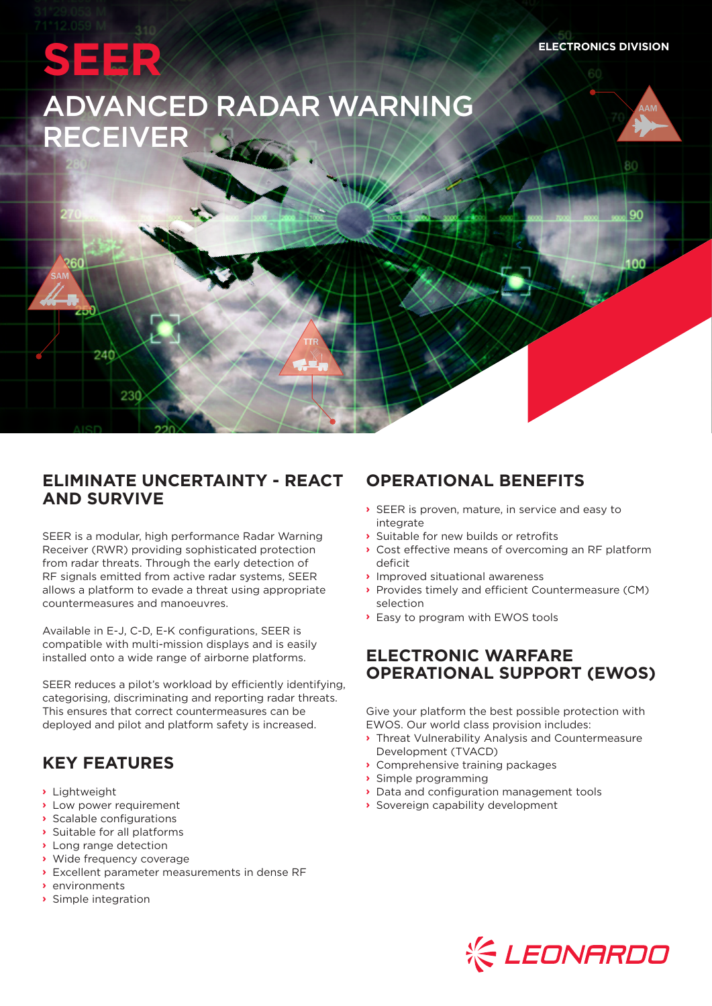AAM

80

90

inn

 $\sim$ 



260

240

230

# ADVANCED RADAR WARNING RECEIVER

#### **ELIMINATE UNCERTAINTY - REACT AND SURVIVE**

 $\lambda$   $\rightarrow$   $\lambda$   $\rightarrow$   $\lambda$   $\rightarrow$   $\lambda$   $\rightarrow$   $\lambda$   $\rightarrow$   $\lambda$   $\rightarrow$   $\lambda$   $\rightarrow$   $\lambda$   $\rightarrow$   $\lambda$   $\rightarrow$   $\lambda$   $\rightarrow$   $\lambda$   $\rightarrow$   $\lambda$   $\rightarrow$   $\lambda$   $\rightarrow$   $\lambda$   $\rightarrow$   $\lambda$   $\rightarrow$   $\lambda$   $\rightarrow$   $\lambda$   $\rightarrow$   $\lambda$   $\rightarrow$   $\lambda$   $\rightarrow$   $\lambda$   $\rightarrow$   $\lambda$   $\rightarrow$   $\lambda$   $\rightarrow$ 

SAM TTR

SAM TTREE SAM TELEVISION

SEER is a modular, high performance Radar Warning Receiver (RWR) providing sophisticated protection from radar threats. Through the early detection of RF signals emitted from active radar systems, SEER allows a platform to evade a threat using appropriate countermeasures and manoeuvres.

Available in E-J, C-D, E-K configurations, SEER is compatible with multi-mission displays and is easily installed onto a wide range of airborne platforms.

SEER reduces a pilot's workload by efficiently identifying, categorising, discriminating and reporting radar threats. This ensures that correct countermeasures can be deployed and pilot and platform safety is increased.

# **KEY FEATURES**

- **›** Lightweight
- **›** Low power requirement
- **›** Scalable configurations
- **›** Suitable for all platforms
- **›** Long range detection
- **›** Wide frequency coverage
- **›** Excellent parameter measurements in dense RF
- **›** environments
- **›** Simple integration

# **OPERATIONAL BENEFITS**

- **›** SEER is proven, mature, in service and easy to integrate
- **›** Suitable for new builds or retrofits
- **›** Cost effective means of overcoming an RF platform deficit
- **›** Improved situational awareness
- **›** Provides timely and efficient Countermeasure (CM) selection
- **›** Easy to program with EWOS tools

## **ELECTRONIC WARFARE OPERATIONAL SUPPORT (EWOS)**

Give your platform the best possible protection with EWOS. Our world class provision includes:

- **›** Threat Vulnerability Analysis and Countermeasure Development (TVACD)
- **›** Comprehensive training packages
- **›** Simple programming
- **›** Data and configuration management tools
- **›** Sovereign capability development